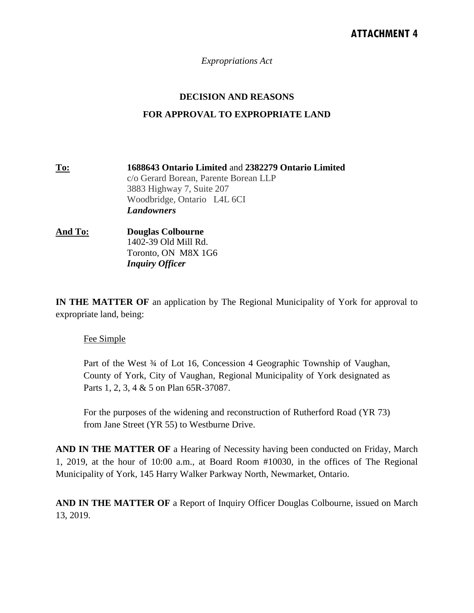*Expropriations Act*

## **DECISION AND REASONS**

## **FOR APPROVAL TO EXPROPRIATE LAND**

**To: 1688643 Ontario Limited** and **2382279 Ontario Limited** c/o Gerard Borean, Parente Borean LLP 3883 Highway 7, Suite 207 Woodbridge, Ontario L4L 6CI *Landowners*

**And To: Douglas Colbourne** 1402-39 Old Mill Rd. Toronto, ON M8X 1G6 *Inquiry Officer*

**IN THE MATTER OF** an application by The Regional Municipality of York for approval to expropriate land, being:

## Fee Simple

Part of the West  $\frac{3}{4}$  of Lot 16, Concession 4 Geographic Township of Vaughan, County of York, City of Vaughan, Regional Municipality of York designated as Parts 1, 2, 3, 4 & 5 on Plan 65R-37087.

For the purposes of the widening and reconstruction of Rutherford Road (YR 73) from Jane Street (YR 55) to Westburne Drive.

**AND IN THE MATTER OF** a Hearing of Necessity having been conducted on Friday, March 1, 2019, at the hour of 10:00 a.m., at Board Room #10030, in the offices of The Regional Municipality of York, 145 Harry Walker Parkway North, Newmarket, Ontario.

**AND IN THE MATTER OF** a Report of Inquiry Officer Douglas Colbourne, issued on March 13, 2019.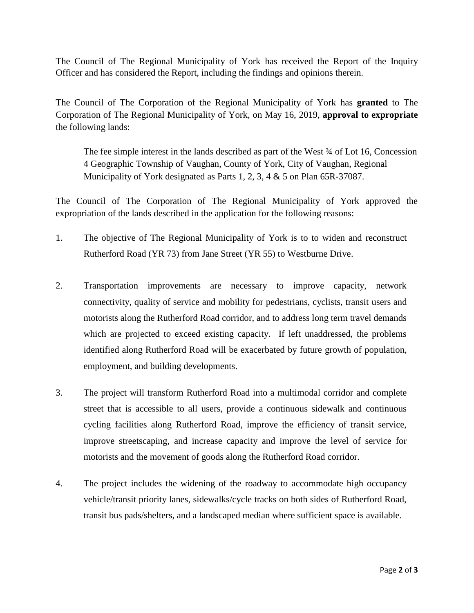The Council of The Regional Municipality of York has received the Report of the Inquiry Officer and has considered the Report, including the findings and opinions therein.

The Council of The Corporation of the Regional Municipality of York has **granted** to The Corporation of The Regional Municipality of York, on May 16, 2019, **approval to expropriate** the following lands:

The fee simple interest in the lands described as part of the West ¾ of Lot 16, Concession 4 Geographic Township of Vaughan, County of York, City of Vaughan, Regional Municipality of York designated as Parts 1, 2, 3, 4 & 5 on Plan 65R-37087.

The Council of The Corporation of The Regional Municipality of York approved the expropriation of the lands described in the application for the following reasons:

- 1. The objective of The Regional Municipality of York is to to widen and reconstruct Rutherford Road (YR 73) from Jane Street (YR 55) to Westburne Drive.
- 2. Transportation improvements are necessary to improve capacity, network connectivity, quality of service and mobility for pedestrians, cyclists, transit users and motorists along the Rutherford Road corridor, and to address long term travel demands which are projected to exceed existing capacity. If left unaddressed, the problems identified along Rutherford Road will be exacerbated by future growth of population, employment, and building developments.
- 3. The project will transform Rutherford Road into a multimodal corridor and complete street that is accessible to all users, provide a continuous sidewalk and continuous cycling facilities along Rutherford Road, improve the efficiency of transit service, improve streetscaping, and increase capacity and improve the level of service for motorists and the movement of goods along the Rutherford Road corridor.
- 4. The project includes the widening of the roadway to accommodate high occupancy vehicle/transit priority lanes, sidewalks/cycle tracks on both sides of Rutherford Road, transit bus pads/shelters, and a landscaped median where sufficient space is available.